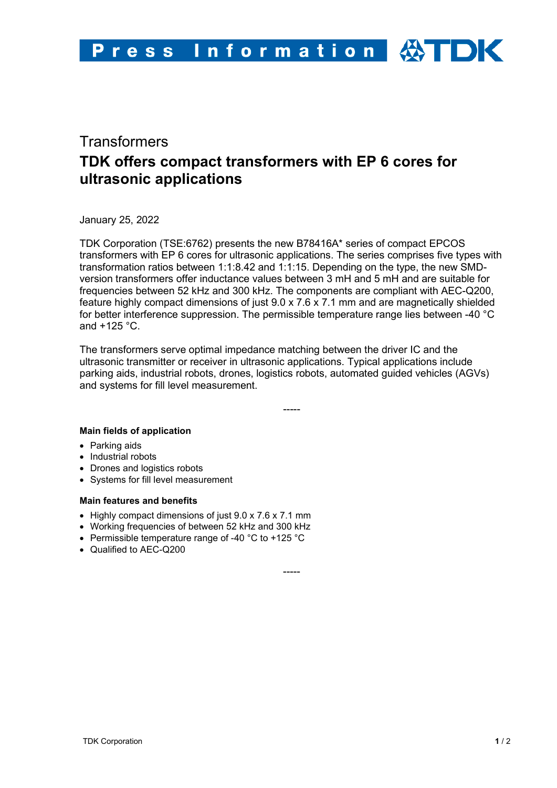# **Transformers TDK offers compact transformers with EP 6 cores for ultrasonic applications**

January 25, 2022

TDK Corporation (TSE:6762) presents the new B78416A\* series of compact EPCOS transformers with EP 6 cores for ultrasonic applications. The series comprises five types with transformation ratios between 1:1:8.42 and 1:1:15. Depending on the type, the new SMDversion transformers offer inductance values between 3 mH and 5 mH and are suitable for frequencies between 52 kHz and 300 kHz. The components are compliant with AEC-Q200, feature highly compact dimensions of just 9.0 x 7.6 x 7.1 mm and are magnetically shielded for better interference suppression. The permissible temperature range lies between -40 °C and +125 °C.

The transformers serve optimal impedance matching between the driver IC and the ultrasonic transmitter or receiver in ultrasonic applications. Typical applications include parking aids, industrial robots, drones, logistics robots, automated guided vehicles (AGVs) and systems for fill level measurement.

-----

## **Main fields of application**

- Parking aids
- Industrial robots
- Drones and logistics robots
- Systems for fill level measurement

## **Main features and benefits**

- Highly compact dimensions of just 9.0 x 7.6 x 7.1 mm
- Working frequencies of between 52 kHz and 300 kHz
- Permissible temperature range of -40 °C to +125 °C
- Qualified to AEC-Q200

-----